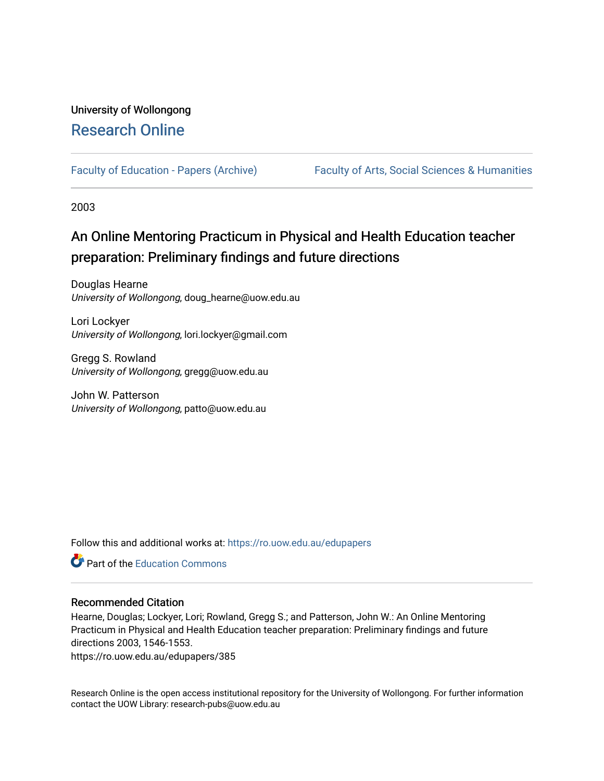## University of Wollongong [Research Online](https://ro.uow.edu.au/)

[Faculty of Education - Papers \(Archive\)](https://ro.uow.edu.au/edupapers) Faculty of Arts, Social Sciences & Humanities

2003

# An Online Mentoring Practicum in Physical and Health Education teacher preparation: Preliminary findings and future directions

Douglas Hearne University of Wollongong, doug\_hearne@uow.edu.au

Lori Lockyer University of Wollongong, lori.lockyer@gmail.com

Gregg S. Rowland University of Wollongong, gregg@uow.edu.au

John W. Patterson University of Wollongong, patto@uow.edu.au

Follow this and additional works at: [https://ro.uow.edu.au/edupapers](https://ro.uow.edu.au/edupapers?utm_source=ro.uow.edu.au%2Fedupapers%2F385&utm_medium=PDF&utm_campaign=PDFCoverPages) 



## Recommended Citation

Hearne, Douglas; Lockyer, Lori; Rowland, Gregg S.; and Patterson, John W.: An Online Mentoring Practicum in Physical and Health Education teacher preparation: Preliminary findings and future directions 2003, 1546-1553.

https://ro.uow.edu.au/edupapers/385

Research Online is the open access institutional repository for the University of Wollongong. For further information contact the UOW Library: research-pubs@uow.edu.au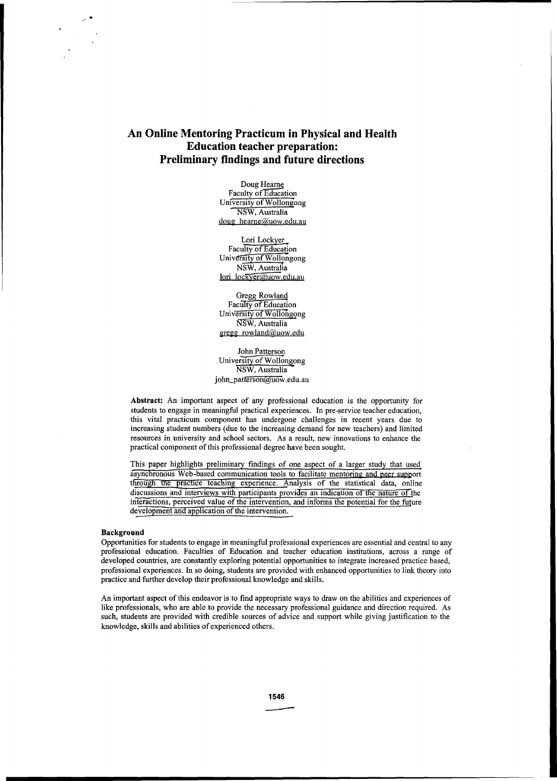## **An Online Mentoring Practicum in Physical and Health Education teacher preparation: Preliminary findings and future directions**

Doug Hearne Faculty of Education University of Wollongong NSW, Australia doug hearne@uow.edu.au

Lori Lockyet. Faculty of Education University of Wollongong NSw, Australia lori lockyer@uow.edu.au

Gregg Rowland Faculty of Education University of Wollongong NSW, Australia gregg rowland@uow.edu

John Patterson University of Wollongong NSW, Australia john\_patterson@uow.edu.au

**Abstract:** An important aspect of any professional education is the opportunity for students to engage in meaningful practical experiences. In pre-service teacher education, this vital practicum component has undergone challenges in recent years due to increasing student numbers (due to the increasing demand for new teachers) and limited resources in university and school sectors. As a result, new innovations to enhance the practical component of this professional degree have been sought.

This paper highlights preliminary findings of one aspect of a larger study that used asynchronous Web-based communication tools to facilitate mentoring and peer support through the practice teaching experience. Analysis of the statistical data, online discussions and interviews with participants provides an indication of the nature of the interactions, perceived value of the intervention, and informs the potential for the future development and application of the intervention.

#### **Background**

Opportunities for students to engage in meaningful professional experiences are essential and central to any professional education. Faculties of Education and teacher education institutions, across a range of developed countries, are constantly exploring potential opportunities to integrate increased practice based, professional experiences. In so doing, students are provided with enhanced opportunities to link theory into practice and further develop their professional knowledge and skills.

An important aspect of this endeavor is to find appropriate ways to draw on the abilities and experiences of like professionals, who are able to provide the necessary professional guidance and direction required. As such, students are provided with credible sources of advice and support while giving justification to the knowledge, skills and abilities of experienced others.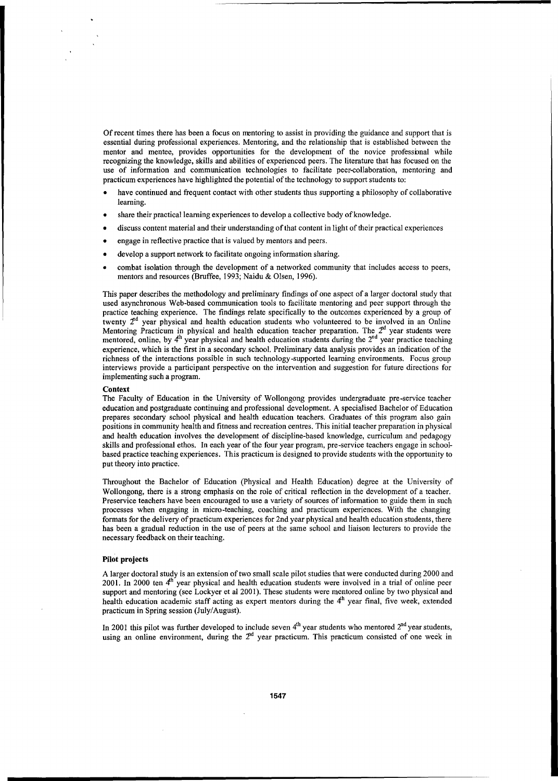Of recent times there has been a focus on rrentoring to assist in providing the guidance and support that is essential during professional experiences. Mentoring, and the relationship that is established between the mentor and mentee, provides opportunities for the development of the novice professbnal while recognizing the knowledge, skills and abilities of experienced peers. The literature that has focused on the use of information and communication technologies to facilitate peer-collaboration, mentoring and practicum experiences have highlighted the potential of the technology to support students to:

- have continued and frequent contact with other students thus supporting a philosophy of collaborative learning.
- share their practical learning experiences to develop a collective body of knowledge.
- discuss content material and their understanding of that content in light of their practical experiences
- engage in reflective practice that is valued by mentors and peers.
- develop a support network to facilitate ongoing information sharing.
- combat isolation through the development of a networked community that includes access to peers, mentors and resources (Bruffee, 1993; Naidu & Olsen, 1996).

This paper describes the methodology and preliminary findings of one aspect of a larger doctoral study that used asynchronous Web-based communication tools to facilitate mentoring and peer support through the practice teaching experience. The findings relate specifically to the outcomes experienced by a group of twenty  $2<sup>nd</sup>$  year physical and health education students who volunteered to be involved in an Online Mentoring Practicum in physical and health education teacher preparation. The  $2<sup>nd</sup>$  year students were mentored, online, by  $4^h$  year physical and health education students during the  $2^{nd}$  year practice teaching experience, which is the first in a secondary school. Preliminary data analysis provides an indication of the richness of the interactions possible in such technology-supported learning environments. Focus group interviews provide a participant perspective on the intervention and suggestion for future directions for implementing such a program.

#### **Context**

The Faculty of Education in the University of Wollongong provides undergraduate pre-service teacher education and postgraduate continuing and professional development. A specialised Bachelor of Education prepares secondary school physical and health education teachers. Graduates of this program also gain positions in community health and fitness and recreation centres. This initial teacher preparation in physical and health education involves the development of discipline-based knowledge, curriculum and pedagogy skills and professional ethos. **In** each year of the four year program, pre-service teachers engage in schoolbased practice teaching experiences. This practicum is designed to provide students with the opportunity to put theory into practice.

Throughout the Bachelor of Education (Physical and Health Education) degree at the University of Wollongong, there is a strong emphasis on the role of critical reflection in the development of a teacher. Preservice teachers have been encouraged to use a variety of sources of information to guide them in such processes when engaging in micro-teaching, coaching and practicum experiences. With the changing formats for the delivery of practicum experiences for 2nd year physical and health education students, there has been a gradual reduction in the use of peers at the same school and liaison lecturers to provide the necessary feedback on their teaching.

#### **Pilot projects**

A larger doctoral study is an extension of two small scale pilot studies that were conducted during 2000 and 2001. **In** 2000 ten 4h year physical and health education students were involved in a trial of online peer support and mentoring (see Lockyer et al 2001). These students were mentored online by two physical and health education academic staff acting as expert mentors during the 4h year final, five week, extended practicum in Spring session (July/August).

In 2001 this pilot was further developed to include seven  $4<sup>th</sup>$  year students who mentored  $2<sup>nd</sup>$  year students, using an online environment, during the  $2<sup>nd</sup>$  year practicum. This practicum consisted of one week in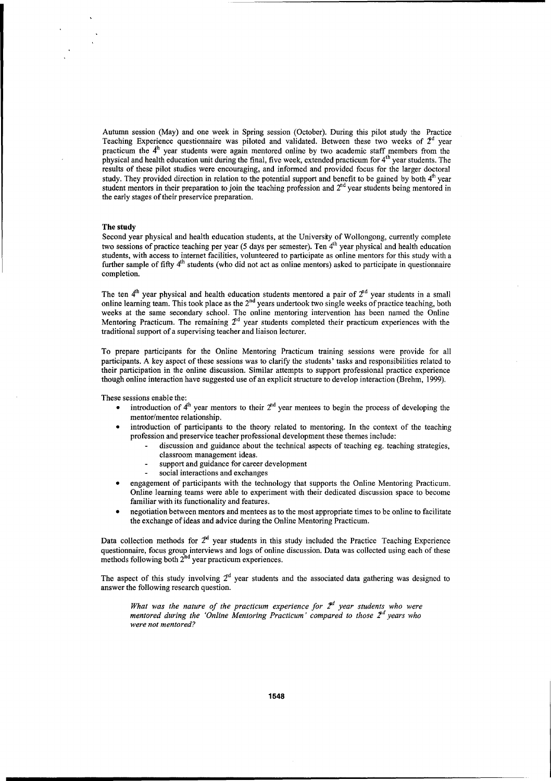Autumn session (May) and one week in Spring session (October). During this pilot study the Practice Teaching Experience questionnaire was piloted and validated. Between these two weeks of  $2<sup>d</sup>$  year practicum the  $4<sup>h</sup>$  year students were again mentored online by two academic staff members from the physical and health education unit during the final, five week, extended practicum for 4th year students. The results of these pilot studies were encouraging, and informed and provided focus for the larger doctoral study. They provided direction in relation to the potential support and benefit to be gained by both  $4<sup>th</sup>$  year student mentors in their preparation to join the teaching profession and 2<sup>nd</sup> year students being mentored in the early stages of their preservice preparation.

#### **The study**

Second year physical and health education students, at the University of Wollongong, currently complete two sessions of practice teaching per year (5 days per semester). Ten 4<sup>th</sup> year physical and health education students, with access to internet facilities, volunteered to participate as online mentors for this study with a further sample of fifty 4<sup>th</sup> students (who did not act as online mentors) asked to participate in questionnaire completion.

The ten  $4<sup>th</sup>$  year physical and health education students mentored a pair of  $2<sup>nd</sup>$  year students in a small online learning team. This took place as the 2<sup>nd</sup> years undertook two single weeks of practice teaching, both weeks at the same secondary school. The online mentoring intervention has been named the Online Mentoring Practicum. The remaining  $2<sup>nd</sup>$  year students completed their practicum experiences with the traditional support of a supervising teacher and liaison lecturer.

To prepare participants for the Online Mentoring Practicum training sessions were provide for all participants. A key aspect of these sessions was to clarify the students' tasks and responsibilities related to their participation in the online discussion. Similar attempts to support professional practice experience though online interaction have suggested use of an explicit structure to develop interaction (Brehm, 1999).

These sessions enable the:

- introduction of  $4^h$  year mentors to their  $2^{hd}$  year mentees to begin the process of developing the mentor/mentee relationship.
- introduction of participants to the theory related to mentoring. In the context of the teaching profession and preservice teacher professional development these themes include:
	- discussion and guidance about the technical aspects of teaching eg. teaching strategies, classroom management ideas.
	- l, support and guidance for career development
	- social interactions and exchanges
- engagement of participants with the technology that supports the Online Mentoring Practicum. Online learning teams were able to experiment with their dedicated discussion space to become familiar with its functionality and features.
- negotiation between mentors and mentees as to the most appropriate times to be online to facilitate the exchange of ideas and advice during the Online Mentoring Practicum.

Data collection methods for  $2<sup>rd</sup>$  year students in this study included the Practice Teaching Experience questionnaire, focus group interviews and logs of online discussion. Data was collected using each of these methods following both  $2^{nd}$  year practicum experiences.

The aspect of this study involving  $2<sup>nd</sup>$  year students and the associated data gathering was designed to answer the following research question.

*What was the nature of the practicum experience for*  $\mathbb{Z}^d$  *year students who were mentored during the 'Online Mentoring Practicum' compared to those*  $2<sup>d</sup>$  *years who were not mentored?*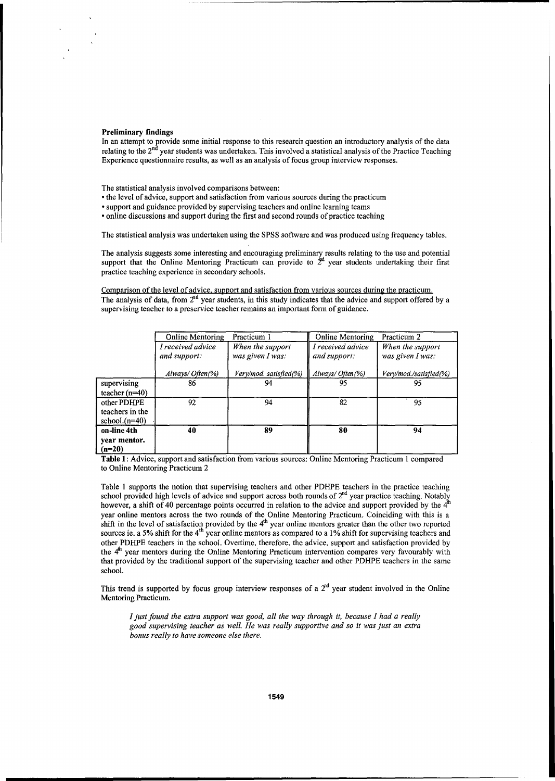#### Preliminary findings

In an attempt to provide some initial response to this research question an introductory analysis of the data relating to the 2<sup>nd</sup> year students was undertaken. This involved a statistical analysis of the Practice Teaching Experience questionnaire results, as well as an analysis of focus group interview responses.

The statistical analysis involved comparisons between:

- the level of advice, support and satisfaction from various sources during the practicum
- support and guidance provided by supervising teachers and online learning teams

• online discussions and support during the first and second rounds of practice teaching

The statistical analysis was undertaken using the SPSS software and was produced using frequency tables.

The analysis suggests some interesting and encouraging preliminary results relating to the use and potential support that the Online Mentoring Practicum can provide to  $\tilde{Z}^d$  year students undertaking their first practice teaching experience in secondary schools.

Comparison of the level of advice, support and satisfaction from various sources during the practicum. The analysis of data, from  $2<sup>nd</sup>$  year students, in this study indicates that the advice and support offered by a supervising teacher to a preservice teacher remains an important form of guidance.

|                                                    | Online Mentoring                  | Practicum 1                          | <b>Online Mentoring</b>           | Practicum 2                          |
|----------------------------------------------------|-----------------------------------|--------------------------------------|-----------------------------------|--------------------------------------|
|                                                    | I received advice<br>and support: | When the support<br>was given I was: | I received advice<br>and support: | When the support<br>was given I was: |
|                                                    | $\lambda$ lways/Often(%)          | Very/mod. satisfied(%)               | Always/Often(%)                   | Very/mod./satisfied(%)               |
| supervising<br>teacher $(n=40)$                    | 86                                | 94                                   | 95                                | 95                                   |
| other PDHPE<br>teachers in the<br>school. $(n=40)$ | 92                                | 94                                   | 82                                | 95                                   |
| on-line 4th<br>year mentor.<br>(n=20)              | 40                                | 89                                   | 80                                | 94                                   |

Table 1: Advice, support and satisfaction from various sources: Online Mentoring Practicum 1 compared to Online Mentoring Practicum 2

Table 1 supports the notion that supervising teachers and other PDHPE teachers in the practice teaching school provided high levels of advice and support across both rounds of  $2<sup>nd</sup>$  year practice teaching. Notably however, a shift of 40 percentage points occurred in relation to the advice and support provided by the  $4<sup>th</sup>$ year online mentors across the two rounds of the Online Mentoring Practicum. Coinciding with this is a shift in the level of satisfaction provided by the 4<sup>th</sup> year online mentors greater than the other two reported sources ie. a 5% shift for the  $4<sup>th</sup>$  year online mentors as compared to a 1% shift for supervising teachers and other PDHPE teachers in the school. Overtime, therefore, the advice, support and satisfaction provided by the 4<sup>th</sup> year mentors during the Online Mentoring Practicum intervention compares very favourably with that provided by the traditional support of the supervising teacher and other PDHPE teachers in the same school.

This trend is supported by focus group interview responses of a  $2<sup>nd</sup>$  year student involved in the Online Mentoring Practicum.

*I just found the extra support was good, all the way through it, because I had a really good supervising teacher as well. He was really supportive and so* it *was just an extra bonus really to have someone else there.*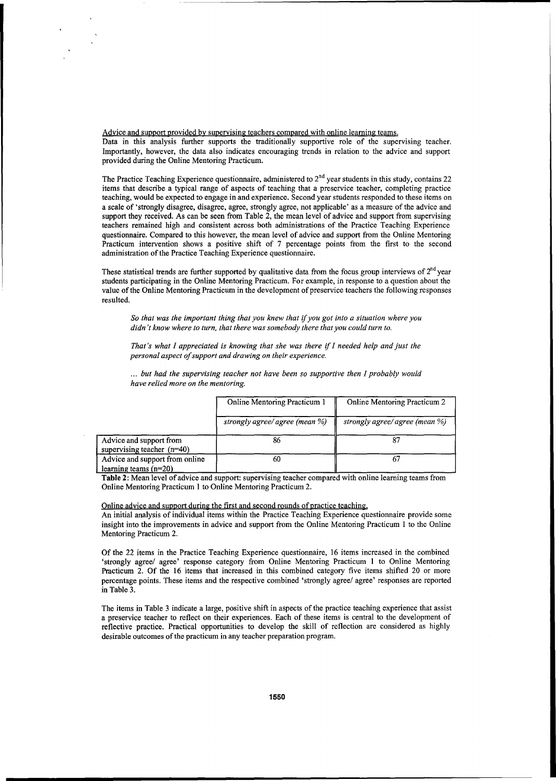Advice and support provided by supervising teachers compared with online learning teams.

Data in this analysis further supports the traditionally supportive role of the supervising teacher. Importantly, however, the data also indicates encouraging trends in relation to the advice and support provided during the Online Mentoring Practicum.

The Practice Teaching Experience questionnaire, administered to  $2<sup>nd</sup>$  year students in this study, contains 22 items that describe a typical range of aspects of teaching that a preservice teacher, completing practice teaching, would be expected to engage in and experience. Second year students responded to these items on a scale of 'strongly disagree, disagree, agree, strongly agree, not applicable' as a measure of the advice and support they received. As can be seen from Table 2, the mean level of advice and support from supervising teachers remained high and consistent across both administrations of the Practice Teaching Experience questionnaire. Compared to this however, the mean level of advice and support from the Online Mentoring Practicum intervention shows a positive shift of 7 percentage points from the first to the second administration of the Practice Teaching Experience questionnaire.

These statistical trends are further supported by qualitative data from the focus group interviews of  $2^{nd}$  year students participating in the Online Mentoring Practicum. For example, in response to a question about the value of the Online Mentoring Practicum in the development of preservice teachers the following responses resulted.

*So that was the important thing that you knew that* if *you got into a situation where you didn't know where to turn, that there was somebody there that you could turn to.* 

*That's what I appreciated is knowing that she was there* if *I needed help and just the personal aspect of support and drawing on their experience.* 

... *but had the supervising teacher not have been so supportive then I probably would have relied more on the mentoring.* 

|                                                           | Online Mentoring Practicum 1   | <b>Online Mentoring Practicum 2</b> |
|-----------------------------------------------------------|--------------------------------|-------------------------------------|
|                                                           | strongly agree/ agree (mean %) | strongly agree/ agree (mean %)      |
| Advice and support from<br>supervising teacher $(n=40)$   | 86                             |                                     |
| Advice and support from online<br>learning teams $(n=20)$ | 60                             |                                     |

Table 2: Mean level of advice and support: supervising teacher compared with online learning teams from Online Mentoring Practicum I to Online Mentoring Practicum 2.

#### Online advice and support during the first and second rounds of practice teaching.

An initial analysis of individual items within the Practice Teaching Experience questionnaire provide some insight into the improvements in advice and support from the Online Mentoring Practicum 1 to the Online Mentoring Practicum 2.

Of the 22 items in the Practice Teaching Experience questionnaire, 16 items increased in the combined 'strongly agree/ agree' response category from Online Mentoring Practicum I to Online Mentoring Practicum 2. Of the 16 items that increased in this combined category five items shifted 20 or more percentage points. These items and the respective combined 'strongly agree/ agree' responses are reported in Table 3.

The items in Table 3 indicate a large, positive shift in aspects of the practice teaching experience that assist a preservice teacher to reflect on their experiences. Each of these items is central to the development of reflective practice. Practical opportunities to develop the skill of reflection are considered as highly desirable outcomes of the practicum in any teacher preparation program.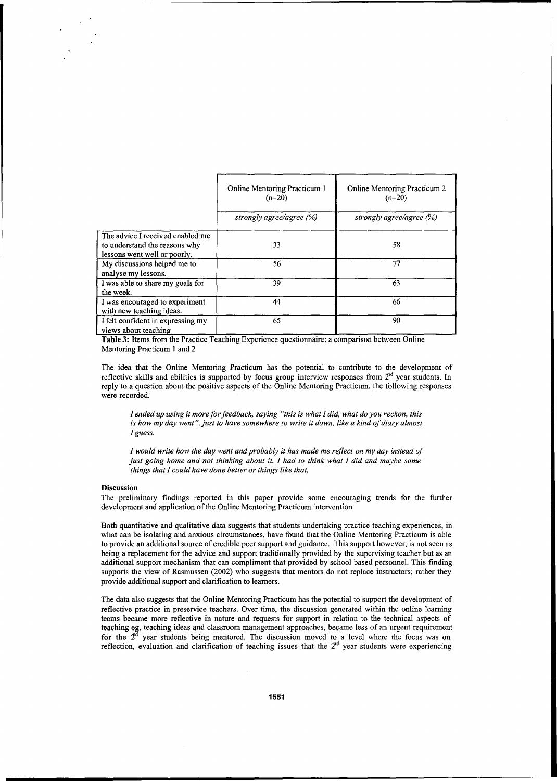|                                                                                                   | <b>Online Mentoring Practicum 1</b><br>$(n=20)$ | <b>Online Mentoring Practicum 2</b><br>$(n=20)$ |
|---------------------------------------------------------------------------------------------------|-------------------------------------------------|-------------------------------------------------|
|                                                                                                   | strongly agree/agree (%)                        | strongly agree/agree $(\%)$                     |
| The advice I received enabled me<br>to understand the reasons why<br>lessons went well or poorly. | 33                                              | 58                                              |
| My discussions helped me to<br>analyse my lessons.                                                | 56                                              | 77                                              |
| I was able to share my goals for<br>the week.                                                     | 39                                              | 63                                              |
| I was encouraged to experiment<br>with new teaching ideas.                                        | 44                                              | 66                                              |
| I felt confident in expressing my<br>views about teaching                                         | 65                                              | 90                                              |

Table 3: Items from the Practice Teaching Experience questionnaire: a comparison between Online Mentoring Practicum I and 2

The idea that the Online Mentoring Practicurn has the potential to contribute to the development of reflective skills and abilities is supported by focus group interview responses from 2<sup>nd</sup> year students. In reply to a question about the positive aspects of the Online Mentoring Practicum, the following responses were recorded.

*I ended up using it more for feedback, saying "this is what I did, what do you reckon, this is how my day went* ", *just to have somewhere to write it down, like a kind of diary almost I guess.* 

*I would write how the day went and probably it has made me reflect on my day instead of just going home and not thinking about it. I had to think what I did and maybe some things that I could have done better or things like that.* 

#### Discussion

The preliminary findings reported in this paper provide some encouraging trends for the further development and application of the Online Mentoring Practicum intervention.

Both quantitative and qualitative data suggests that students undertaking practice teaching experiences, in what can be isolating and anxious circumstances, have found that the Online Mentoring Practicum is able to provide an additional source of credible peer support and guidance. This support however, is not seen as being a replacement for the advice and support traditionally provided by the supervising teacher but as an additional support mechanism that can compliment that provided by school based personnel. This finding supports the view of Rasmussen (2002) who suggests that mentors do not replace instructors; rather they provide additional support and clarification to learners.

The data also suggests that the Online Mentoring Practicum has the potential to support the development of reflective practice in preservice teachers. Over time, the discussion generated within the online learning teams became more reflective in nature and requests for support in relation to the technical aspects of teaching eg. teaching ideas and classroom management approaches, became less of an urgent requirement for the  $2<sup>d</sup>$  year students being mentored. The discussion moved to a level where the focus was on reflection, evaluation and clarification of teaching issues that the  $2<sup>nd</sup>$  year students were experiencing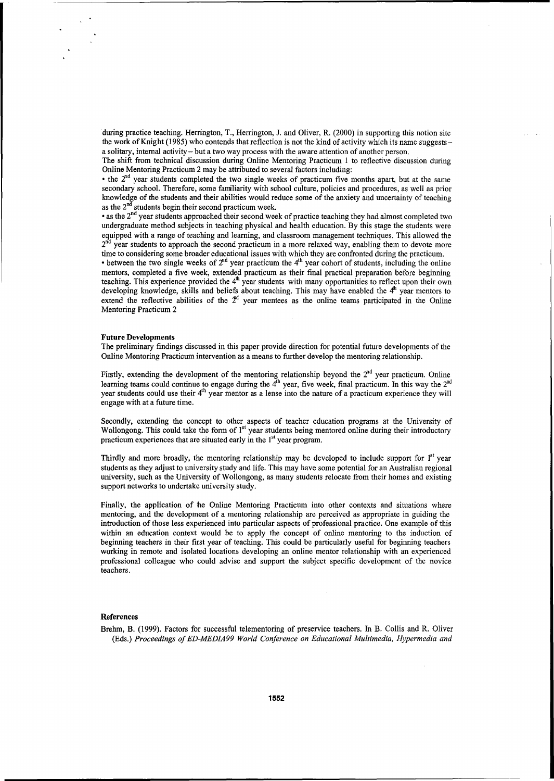during practice teaching. Herrington, T., Herrington, J. and Oliver, R. (2000) in supporting this notion site the work of Knight (1985) who contends that reflection is not the kind of activity which its name suggestsa solitary, internal activity - but a two way process with the aware attention of another person.

The shift from technical discussion during Online Mentoring Practicum 1 to reflective discussion during Online Mentoring Practicum 2 may be attributed to several factors including:

• the  $2<sup>nd</sup>$  year students completed the two single weeks of practicum five months apart, but at the same secondary school. Therefore, some familiarity with school culture, policies and procedures, as well as prior knowledge of the students and their abilities would reduce some of the anxiety and uncertainty of teaching as the  $2<sup>nd</sup>$  students begin their second practicum week.

• as the 2<sup>nd</sup> year students approached their second week of practice teaching they had almost completed two undergraduate method subjects in teaching physical and health education. By this stage the students were equipped with a range of teaching and learning, and classroom management techniques. This allowed the year students to approach the second practicum in a more relaxed way, enabling them to devote more time to considering some broader educational issues with which they are confronted during the practicum.

• between the two single weeks of  $2<sup>nd</sup>$  year practicum the 4<sup>th</sup> year cohort of students, including the online mentors, completed a five week, extended practicum as their final practical preparation before beginning teaching. This experience provided the 4<sup>th</sup> year students with many opportunities to reflect upon their own developing knowledge, skills and beliefs about teaching. This may have enabled the  $4^{\mu}$  year mentors to extend the reflective abilities of the  $2<sup>d</sup>$  year mentees as the online teams participated in the Online Mentoring Practicum 2

#### **Future Developments**

The preliminary findings discussed in this paper provide direction for potential future developments of the Online Mentoring Practicum intervention as a means to further develop the mentoring relationship.

Firstly, extending the development of the mentoring relationship beyond the  $2<sup>nd</sup>$  year practicum. Online learning teams could continue to engage during the  $4<sup>th</sup>$  year, five week, final practicum. In this way the  $2<sup>nd</sup>$ year students could use their  $4<sup>th</sup>$  year mentor as a lense into the nature of a practicum experience they will engage with at a future time.

Secondly, extending the concept to other aspects of teacher education programs at the University of Wollongong. This could take the form of 1<sup>st</sup> year students being mentored online during their introductory practicum experiences that are situated early in the 1<sup>st</sup> year program.

Thirdly and more broadly, the mentoring relationship may be developed to include support for 1<sup>st</sup> year students as they adjust to university study and life. This may have some potential for an Australian regional university, such as the University of Wollongong, as many students relocate from their homes and existing support networks to undertake university study.

Finally, the application of he Online Mentoring Practicum into other contexts and situations where mentoring, and the development of a mentoring relationship are perceived as appropriate in guiding the introduction of those less experienced into particular aspects of professional practice. One example of this within an education context would be to apply the concept of online mentoring to the induction of beginning teachers in their first year of teaching. This could be particularly useful for beginning teachers working in remote and isolated locations developing an online mentor relationship with an experienced professional colleague who could advise and support the subject specific development of the novice teachers.

#### **References**

Brehm, B. (1999). Factors for successful telementoring of preservice teachers. In B. Collis and R. Oliver (Eds.) *Proceedings of ED-MEDIA99 World Conference on Educational Multimedia, Hypermedia and*